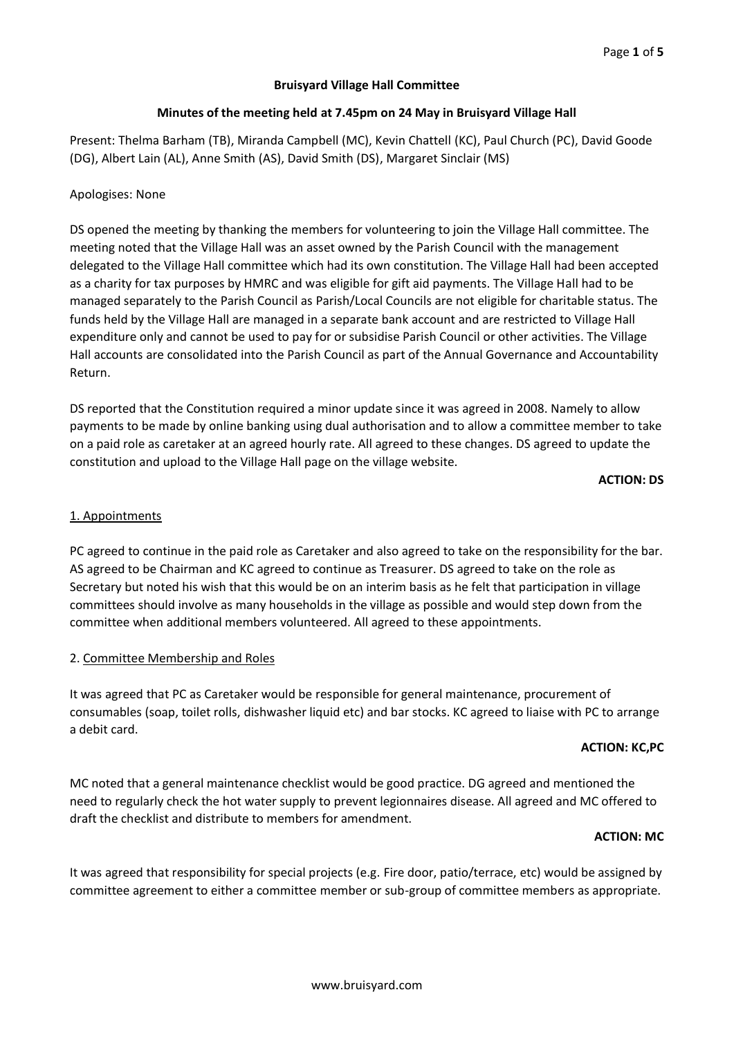# **Bruisyard Village Hall Committee**

# **Minutes of the meeting held at 7.45pm on 24 May in Bruisyard Village Hall**

Present: Thelma Barham (TB), Miranda Campbell (MC), Kevin Chattell (KC), Paul Church (PC), David Goode (DG), Albert Lain (AL), Anne Smith (AS), David Smith (DS), Margaret Sinclair (MS)

# Apologises: None

DS opened the meeting by thanking the members for volunteering to join the Village Hall committee. The meeting noted that the Village Hall was an asset owned by the Parish Council with the management delegated to the Village Hall committee which had its own constitution. The Village Hall had been accepted as a charity for tax purposes by HMRC and was eligible for gift aid payments. The Village Hall had to be managed separately to the Parish Council as Parish/Local Councils are not eligible for charitable status. The funds held by the Village Hall are managed in a separate bank account and are restricted to Village Hall expenditure only and cannot be used to pay for or subsidise Parish Council or other activities. The Village Hall accounts are consolidated into the Parish Council as part of the Annual Governance and Accountability Return.

DS reported that the Constitution required a minor update since it was agreed in 2008. Namely to allow payments to be made by online banking using dual authorisation and to allow a committee member to take on a paid role as caretaker at an agreed hourly rate. All agreed to these changes. DS agreed to update the constitution and upload to the Village Hall page on the village website.

**ACTION: DS**

### 1. Appointments

PC agreed to continue in the paid role as Caretaker and also agreed to take on the responsibility for the bar. AS agreed to be Chairman and KC agreed to continue as Treasurer. DS agreed to take on the role as Secretary but noted his wish that this would be on an interim basis as he felt that participation in village committees should involve as many households in the village as possible and would step down from the committee when additional members volunteered. All agreed to these appointments.

### 2. Committee Membership and Roles

It was agreed that PC as Caretaker would be responsible for general maintenance, procurement of consumables (soap, toilet rolls, dishwasher liquid etc) and bar stocks. KC agreed to liaise with PC to arrange a debit card.

#### **ACTION: KC,PC**

MC noted that a general maintenance checklist would be good practice. DG agreed and mentioned the need to regularly check the hot water supply to prevent legionnaires disease. All agreed and MC offered to draft the checklist and distribute to members for amendment.

#### **ACTION: MC**

It was agreed that responsibility for special projects (e.g. Fire door, patio/terrace, etc) would be assigned by committee agreement to either a committee member or sub-group of committee members as appropriate.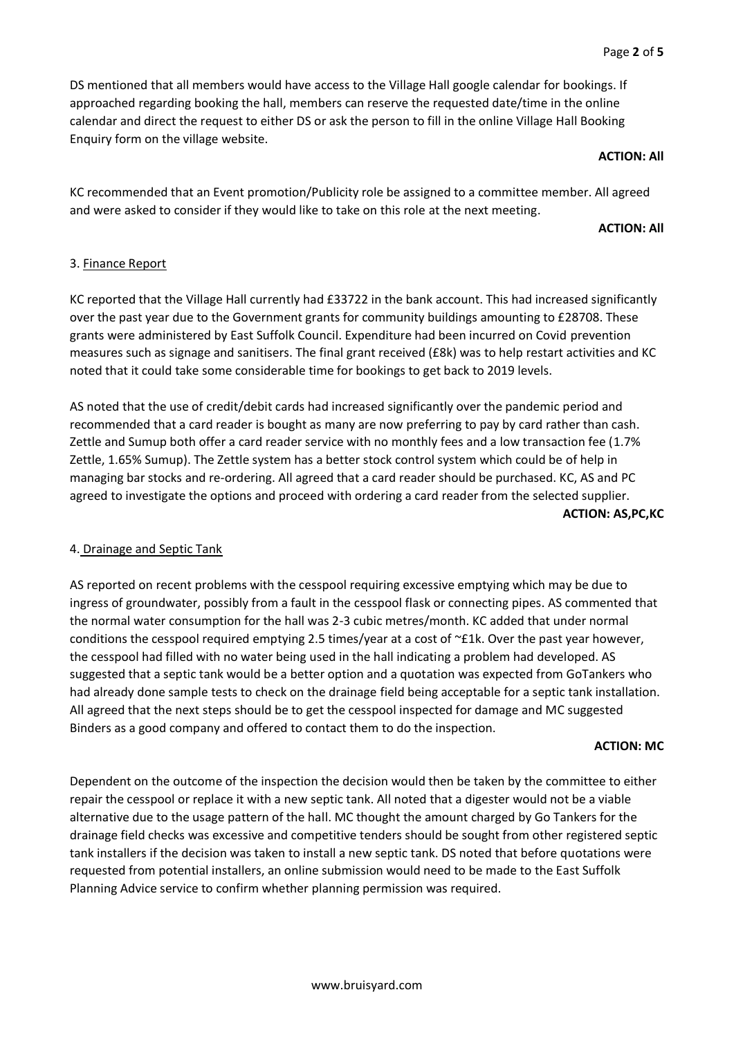DS mentioned that all members would have access to the Village Hall google calendar for bookings. If approached regarding booking the hall, members can reserve the requested date/time in the online calendar and direct the request to either DS or ask the person to fill in the online Village Hall Booking Enquiry form on the village website.

#### **ACTION: All**

KC recommended that an Event promotion/Publicity role be assigned to a committee member. All agreed and were asked to consider if they would like to take on this role at the next meeting.

### **ACTION: All**

# 3. Finance Report

KC reported that the Village Hall currently had £33722 in the bank account. This had increased significantly over the past year due to the Government grants for community buildings amounting to £28708. These grants were administered by East Suffolk Council. Expenditure had been incurred on Covid prevention measures such as signage and sanitisers. The final grant received (£8k) was to help restart activities and KC noted that it could take some considerable time for bookings to get back to 2019 levels.

AS noted that the use of credit/debit cards had increased significantly over the pandemic period and recommended that a card reader is bought as many are now preferring to pay by card rather than cash. Zettle and Sumup both offer a card reader service with no monthly fees and a low transaction fee (1.7% Zettle, 1.65% Sumup). The Zettle system has a better stock control system which could be of help in managing bar stocks and re-ordering. All agreed that a card reader should be purchased. KC, AS and PC agreed to investigate the options and proceed with ordering a card reader from the selected supplier. **ACTION: AS,PC,KC**

# 4. Drainage and Septic Tank

AS reported on recent problems with the cesspool requiring excessive emptying which may be due to ingress of groundwater, possibly from a fault in the cesspool flask or connecting pipes. AS commented that the normal water consumption for the hall was 2-3 cubic metres/month. KC added that under normal conditions the cesspool required emptying 2.5 times/year at a cost of ~£1k. Over the past year however, the cesspool had filled with no water being used in the hall indicating a problem had developed. AS suggested that a septic tank would be a better option and a quotation was expected from GoTankers who had already done sample tests to check on the drainage field being acceptable for a septic tank installation. All agreed that the next steps should be to get the cesspool inspected for damage and MC suggested Binders as a good company and offered to contact them to do the inspection.

### **ACTION: MC**

Dependent on the outcome of the inspection the decision would then be taken by the committee to either repair the cesspool or replace it with a new septic tank. All noted that a digester would not be a viable alternative due to the usage pattern of the hall. MC thought the amount charged by Go Tankers for the drainage field checks was excessive and competitive tenders should be sought from other registered septic tank installers if the decision was taken to install a new septic tank. DS noted that before quotations were requested from potential installers, an online submission would need to be made to the East Suffolk Planning Advice service to confirm whether planning permission was required.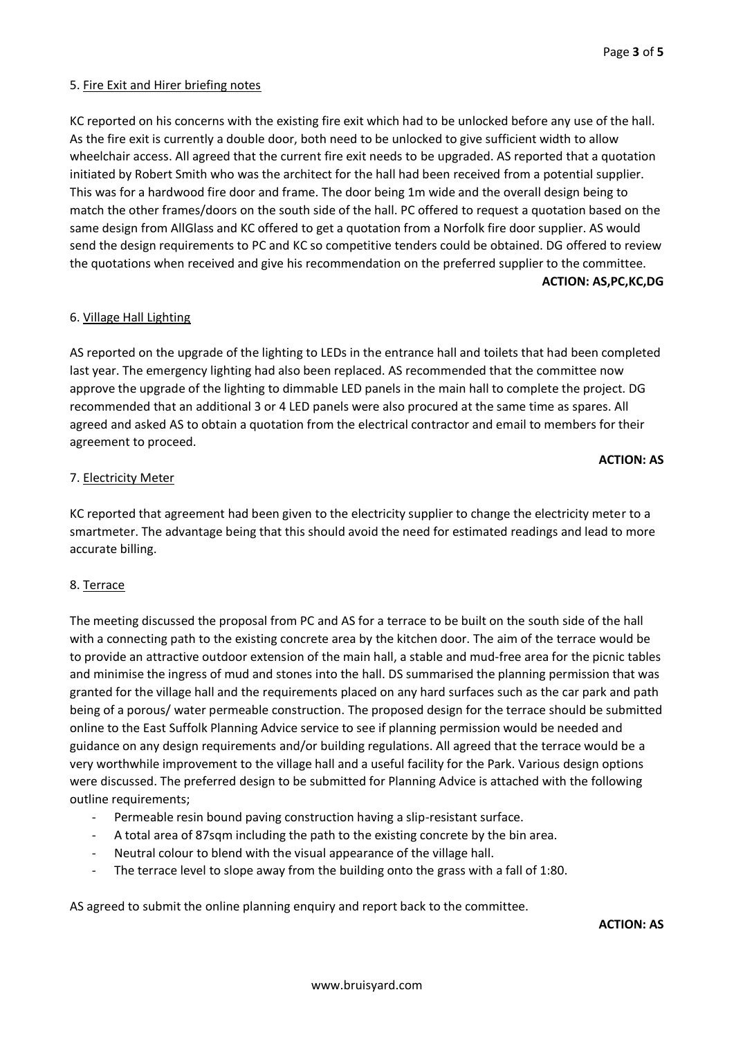### 5. Fire Exit and Hirer briefing notes

KC reported on his concerns with the existing fire exit which had to be unlocked before any use of the hall. As the fire exit is currently a double door, both need to be unlocked to give sufficient width to allow wheelchair access. All agreed that the current fire exit needs to be upgraded. AS reported that a quotation initiated by Robert Smith who was the architect for the hall had been received from a potential supplier. This was for a hardwood fire door and frame. The door being 1m wide and the overall design being to match the other frames/doors on the south side of the hall. PC offered to request a quotation based on the same design from AllGlass and KC offered to get a quotation from a Norfolk fire door supplier. AS would send the design requirements to PC and KC so competitive tenders could be obtained. DG offered to review the quotations when received and give his recommendation on the preferred supplier to the committee. **ACTION: AS,PC,KC,DG**

#### 6. Village Hall Lighting

AS reported on the upgrade of the lighting to LEDs in the entrance hall and toilets that had been completed last year. The emergency lighting had also been replaced. AS recommended that the committee now approve the upgrade of the lighting to dimmable LED panels in the main hall to complete the project. DG recommended that an additional 3 or 4 LED panels were also procured at the same time as spares. All agreed and asked AS to obtain a quotation from the electrical contractor and email to members for their agreement to proceed.

#### **ACTION: AS**

#### 7. Electricity Meter

KC reported that agreement had been given to the electricity supplier to change the electricity meter to a smartmeter. The advantage being that this should avoid the need for estimated readings and lead to more accurate billing.

### 8. Terrace

The meeting discussed the proposal from PC and AS for a terrace to be built on the south side of the hall with a connecting path to the existing concrete area by the kitchen door. The aim of the terrace would be to provide an attractive outdoor extension of the main hall, a stable and mud-free area for the picnic tables and minimise the ingress of mud and stones into the hall. DS summarised the planning permission that was granted for the village hall and the requirements placed on any hard surfaces such as the car park and path being of a porous/ water permeable construction. The proposed design for the terrace should be submitted online to the East Suffolk Planning Advice service to see if planning permission would be needed and guidance on any design requirements and/or building regulations. All agreed that the terrace would be a very worthwhile improvement to the village hall and a useful facility for the Park. Various design options were discussed. The preferred design to be submitted for Planning Advice is attached with the following outline requirements;

- Permeable resin bound paving construction having a slip-resistant surface.
- A total area of 87sqm including the path to the existing concrete by the bin area.
- Neutral colour to blend with the visual appearance of the village hall.
- The terrace level to slope away from the building onto the grass with a fall of 1:80.

AS agreed to submit the online planning enquiry and report back to the committee.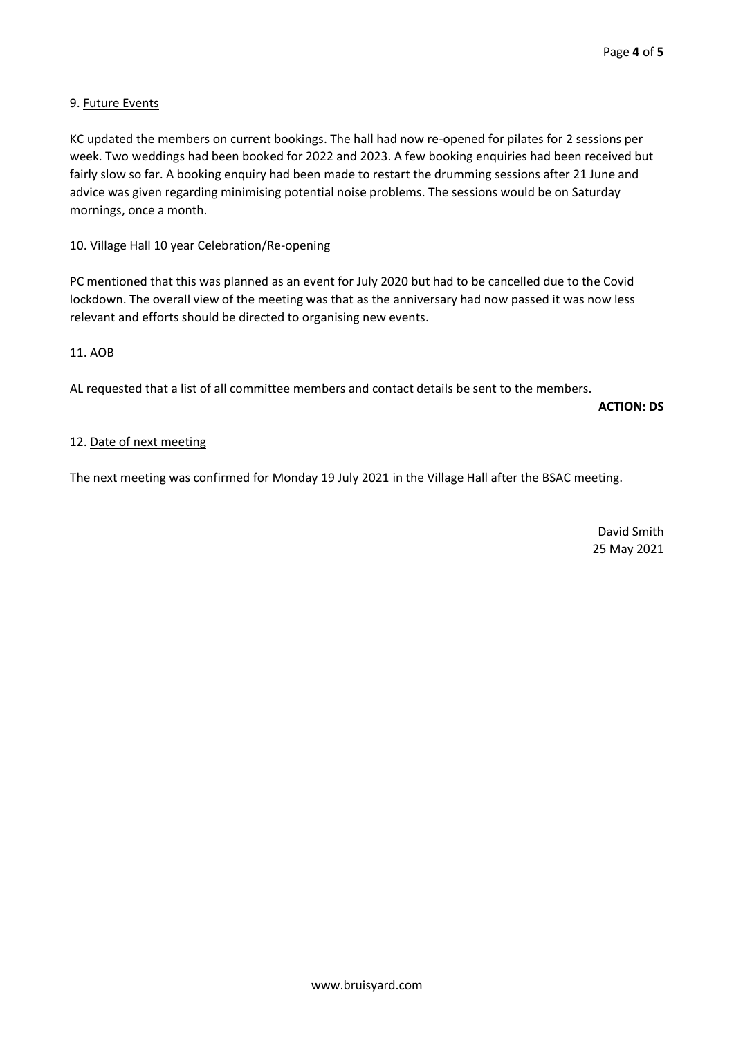# 9. Future Events

KC updated the members on current bookings. The hall had now re-opened for pilates for 2 sessions per week. Two weddings had been booked for 2022 and 2023. A few booking enquiries had been received but fairly slow so far. A booking enquiry had been made to restart the drumming sessions after 21 June and advice was given regarding minimising potential noise problems. The sessions would be on Saturday mornings, once a month.

## 10. Village Hall 10 year Celebration/Re-opening

PC mentioned that this was planned as an event for July 2020 but had to be cancelled due to the Covid lockdown. The overall view of the meeting was that as the anniversary had now passed it was now less relevant and efforts should be directed to organising new events.

# 11. AOB

AL requested that a list of all committee members and contact details be sent to the members.

**ACTION: DS**

### 12. Date of next meeting

The next meeting was confirmed for Monday 19 July 2021 in the Village Hall after the BSAC meeting.

David Smith 25 May 2021